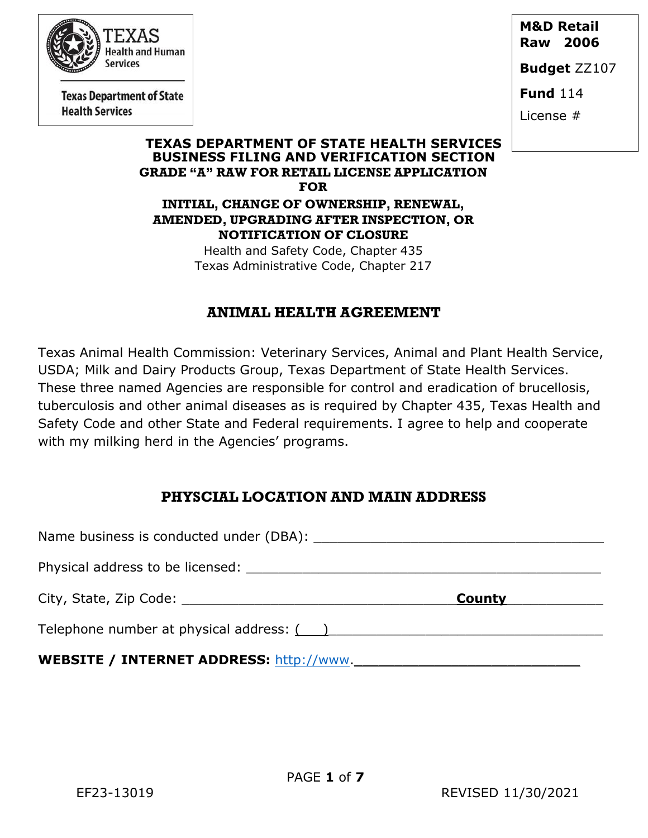

**Texas Department of State Health Services** 

**M&D Retail Raw 2006** 

**Budget** ZZ107

**Fund** 114

License #

#### **TEXAS DEPARTMENT OF STATE HEALTH SERVICES BUSINESS FILING AND VERIFICATION SECTION GRADE "A" RAW FOR RETAIL LICENSE APPLICATION FOR**

**INITIAL, CHANGE OF OWNERSHIP, RENEWAL, AMENDED, UPGRADING AFTER INSPECTION, OR NOTIFICATION OF CLOSURE**

> Health and Safety Code, Chapter 435 Texas Administrative Code, Chapter 217

# **ANIMAL HEALTH AGREEMENT**

Texas Animal Health Commission: Veterinary Services, Animal and Plant Health Service, USDA; Milk and Dairy Products Group, Texas Department of State Health Services. These three named Agencies are responsible for control and eradication of brucellosis, tuberculosis and other animal diseases as is required by Chapter 435, Texas Health and Safety Code and other State and Federal requirements. I agree to help and cooperate with my milking herd in the Agencies' programs.

# **PHYSCIAL LOCATION AND MAIN ADDRESS**

Name business is conducted under (DBA): \_\_\_\_\_\_\_\_\_\_\_\_\_\_\_\_\_\_\_\_\_\_\_\_\_\_\_\_\_\_\_\_\_\_\_\_ Physical address to be licensed:  $\blacksquare$ City, State, Zip Code: \_\_\_\_\_\_\_\_\_\_\_\_\_\_\_\_\_\_\_\_\_\_\_\_\_\_\_\_\_\_\_\_\_\_**County**\_\_\_\_\_\_\_\_\_\_\_\_ Telephone number at physical address: ( )\_\_\_\_\_\_\_\_\_\_\_\_\_\_\_\_\_\_\_\_\_\_\_\_\_\_\_\_\_\_\_\_\_\_ **WEBSITE** / **INTERNET ADDRESS:** [http://www.](http://www/)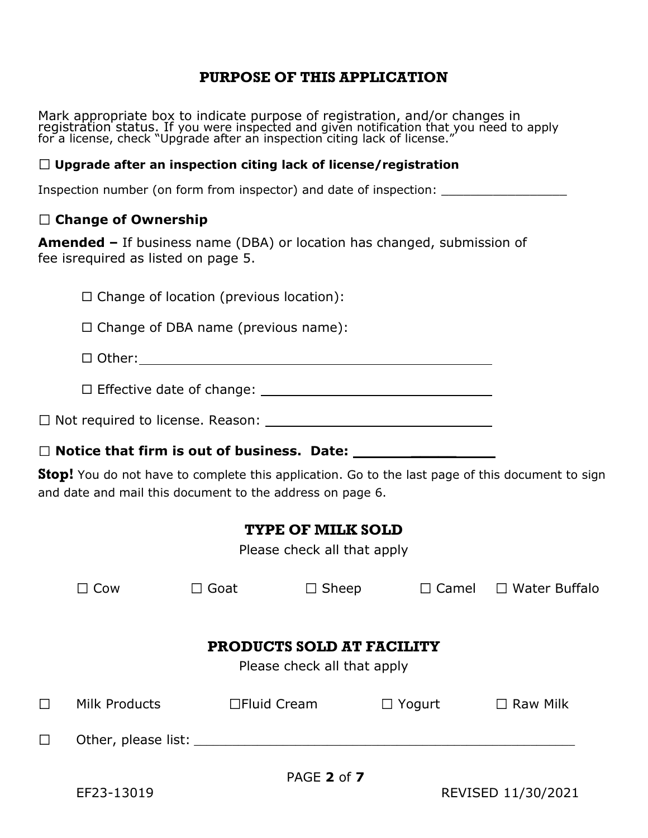## **PURPOSE OF THIS APPLICATION**

Mark appropriate box to indicate purpose of registration, and/or changes in registration status. If you were inspected and given notification that you need to apply for a license, check "Upgrade after an inspection citing lack of license."

#### **Upgrade after an inspection citing lack of license/registration**

Inspection number (on form from inspector) and date of inspection: \_\_\_\_\_\_\_\_\_\_\_\_\_

#### **Change of Ownership**

**Amended –** If business name (DBA) or location has changed, submission of fee isrequired as listed on page 5.

 $\Box$  Change of location (previous location):

 $\Box$  Change of DBA name (previous name):

Other:

 $\square$  Effective date of change:  $\square$ 

Not required to license. Reason:

#### □ Notice that firm is out of business. Date:

**Stop!** You do not have to complete this application. Go to the last page of this document to sign and date and mail this document to the address on page 6.

# **TYPE OF MILK SOLD**

Please check all that apply

|                                                                 | Cow                          | Goat         | $\Box$ Sheep  | $\Box$ Camel  | □ Water Buffalo |  |  |
|-----------------------------------------------------------------|------------------------------|--------------|---------------|---------------|-----------------|--|--|
| <b>PRODUCTS SOLD AT FACILITY</b><br>Please check all that apply |                              |              |               |               |                 |  |  |
| $\Box$                                                          | Milk Products                | □Fluid Cream |               | $\Box$ Yogurt | $\Box$ Raw Milk |  |  |
| $\Box$                                                          | Other, please list: ________ |              |               |               |                 |  |  |
|                                                                 |                              |              | $PAGE$ 2 of 7 |               |                 |  |  |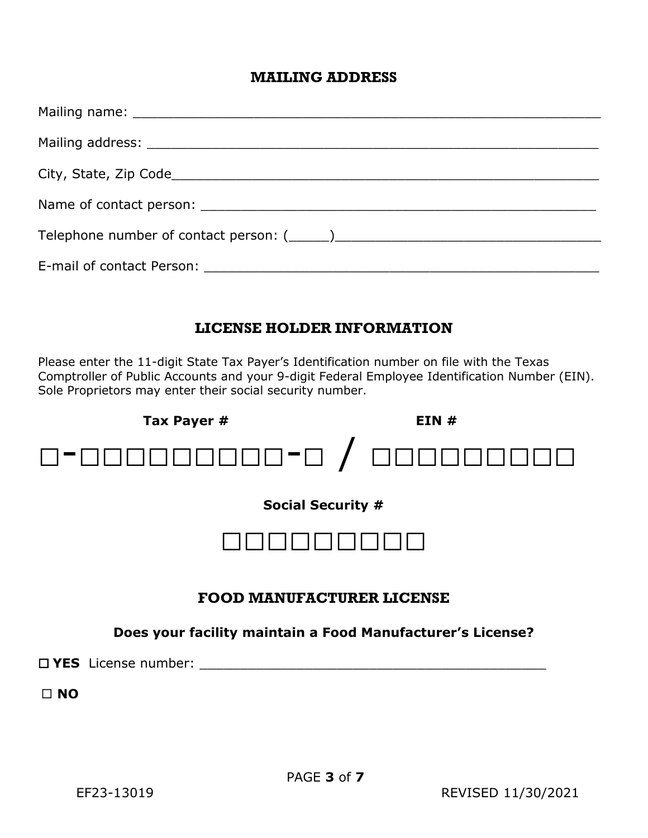#### **MAILING ADDRESS**

# **LICENSE HOLDER INFORMATION**

Please enter the 11-digit State Tax Payer's Identification number on file with the Texas Comptroller of Public Accounts and your 9-digit Federal Employee Identification Number (EIN). Sole Proprietors may enter their social security number.



**NO**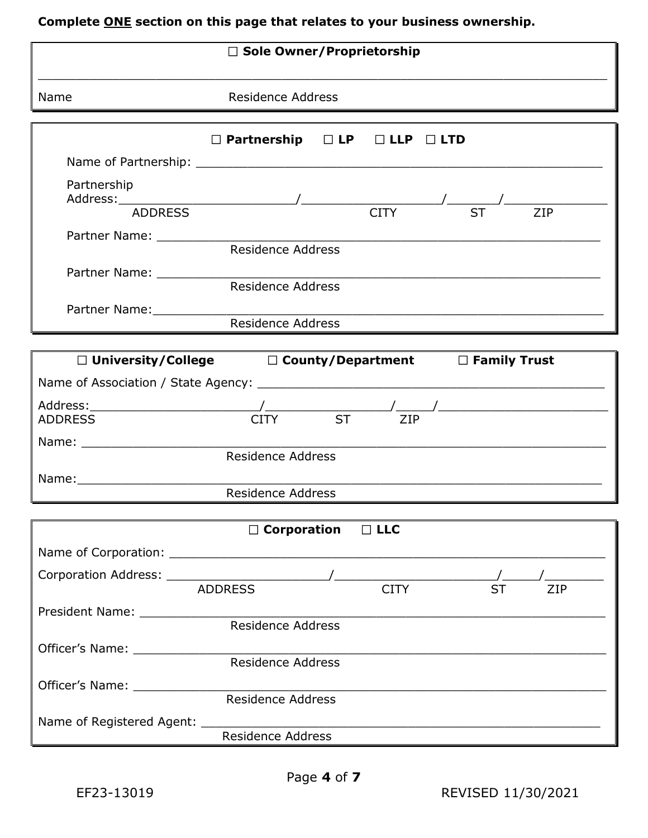# **Complete ONE section on this page that relates to your business ownership.**

| $\Box$ Sole Owner/Proprietorship |                                                                                 |  |  |  |  |  |
|----------------------------------|---------------------------------------------------------------------------------|--|--|--|--|--|
| Name                             | <b>Residence Address</b>                                                        |  |  |  |  |  |
|                                  | $\Box$ Partnership $\Box$ LP $\Box$ LLP $\Box$ LTD                              |  |  |  |  |  |
|                                  |                                                                                 |  |  |  |  |  |
| Partnership                      | Address: ADDRESS / CITY ST                                                      |  |  |  |  |  |
|                                  |                                                                                 |  |  |  |  |  |
|                                  |                                                                                 |  |  |  |  |  |
|                                  | Residence Address                                                               |  |  |  |  |  |
| Partner Name: 1997               | Residence Address                                                               |  |  |  |  |  |
|                                  |                                                                                 |  |  |  |  |  |
|                                  | $\square$ University/College $\square$ County/Department $\square$ Family Trust |  |  |  |  |  |
|                                  |                                                                                 |  |  |  |  |  |
|                                  |                                                                                 |  |  |  |  |  |
|                                  |                                                                                 |  |  |  |  |  |
|                                  | <b>Residence Address</b>                                                        |  |  |  |  |  |
|                                  | <b>Residence Address</b>                                                        |  |  |  |  |  |
|                                  |                                                                                 |  |  |  |  |  |
|                                  | $\Box$ Corporation<br>$\Box$ LLC                                                |  |  |  |  |  |
|                                  |                                                                                 |  |  |  |  |  |
|                                  |                                                                                 |  |  |  |  |  |
|                                  | <b>ST</b><br>ZIP                                                                |  |  |  |  |  |
|                                  |                                                                                 |  |  |  |  |  |
|                                  |                                                                                 |  |  |  |  |  |
|                                  | Residence Address                                                               |  |  |  |  |  |
| Officer's Name: Name:            | Residence Address                                                               |  |  |  |  |  |
| Name of Registered Agent: ____   |                                                                                 |  |  |  |  |  |
|                                  | Residence Address                                                               |  |  |  |  |  |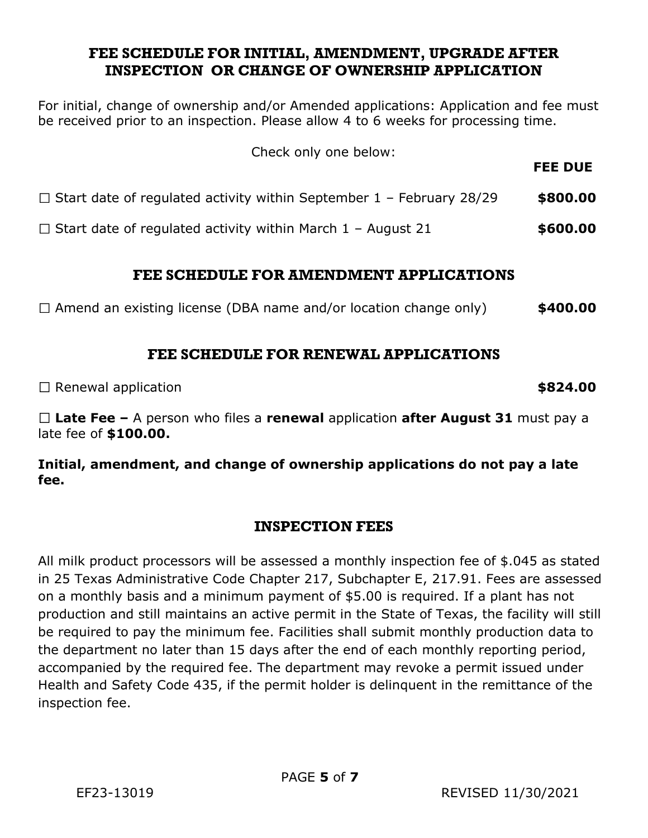## **FEE SCHEDULE FOR INITIAL, AMENDMENT, UPGRADE AFTER INSPECTION OR CHANGE OF OWNERSHIP APPLICATION**

For initial, change of ownership and/or Amended applications: Application and fee must be received prior to an inspection. Please allow 4 to 6 weeks for processing time.

| Check only one below:                                                       | <b>FEE DUE</b> |  |
|-----------------------------------------------------------------------------|----------------|--|
| $\Box$ Start date of regulated activity within September 1 - February 28/29 | \$800.00       |  |
| $\Box$ Start date of regulated activity within March 1 – August 21          | \$600.00       |  |

# **FEE SCHEDULE FOR AMENDMENT APPLICATIONS**

Amend an existing license (DBA name and/or location change only) **\$400.00**

# **FEE SCHEDULE FOR RENEWAL APPLICATIONS**

□ Renewal application **be a set of the set of the set of the set of the set of the set of the set of the set of the set of the set of the set of the set of the set of the set of the set of the set of the set of the set of** 

**Late Fee –** A person who files a **renewal** application **after August 31** must pay a late fee of **\$100.00.**

## **Initial, amendment, and change of ownership applications do not pay a late fee.**

## **INSPECTION FEES**

All milk product processors will be assessed a monthly inspection fee of \$.045 as stated in 25 Texas Administrative Code Chapter 217, Subchapter E, 217.91. Fees are assessed on a monthly basis and a minimum payment of \$5.00 is required. If a plant has not production and still maintains an active permit in the State of Texas, the facility will still be required to pay the minimum fee. Facilities shall submit monthly production data to the department no later than 15 days after the end of each monthly reporting period, accompanied by the required fee. The department may revoke a permit issued under Health and Safety Code 435, if the permit holder is delinquent in the remittance of the inspection fee.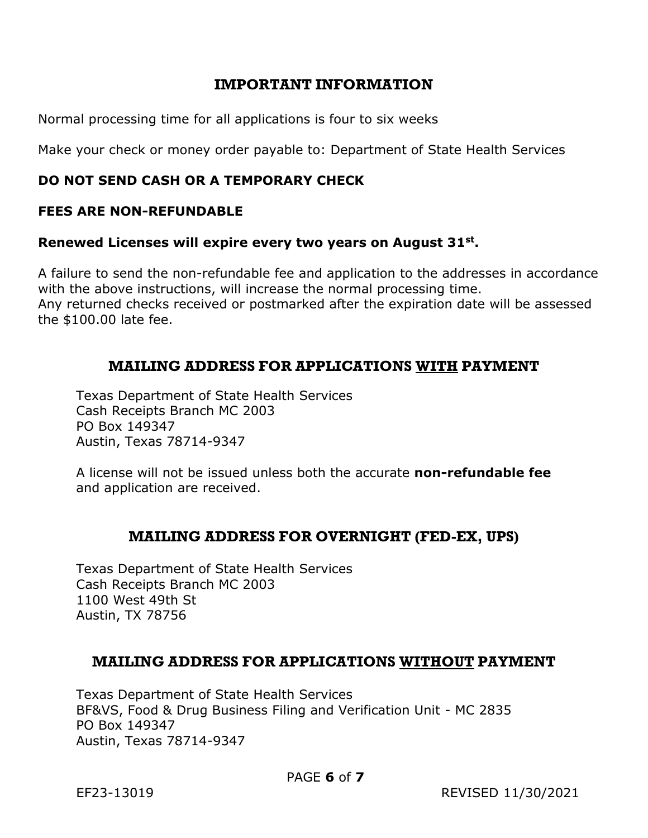## **IMPORTANT INFORMATION**

Normal processing time for all applications is four to six weeks

Make your check or money order payable to: Department of State Health Services

## **DO NOT SEND CASH OR A TEMPORARY CHECK**

#### **FEES ARE NON-REFUNDABLE**

#### **Renewed Licenses will expire every two years on August 31st .**

A failure to send the non-refundable fee and application to the addresses in accordance with the above instructions, will increase the normal processing time. Any returned checks received or postmarked after the expiration date will be assessed the \$100.00 late fee.

## **MAILING ADDRESS FOR APPLICATIONS WITH PAYMENT**

Texas Department of State Health Services Cash Receipts Branch MC 2003 PO Box 149347 Austin, Texas 78714-9347

A license will not be issued unless both the accurate **non-refundable fee** and application are received.

## **MAILING ADDRESS FOR OVERNIGHT (FED-EX, UPS)**

Texas Department of State Health Services Cash Receipts Branch MC 2003 1100 West 49th St Austin, TX 78756

## **MAILING ADDRESS FOR APPLICATIONS WITHOUT PAYMENT**

Texas Department of State Health Services BF&VS, Food & Drug Business Filing and Verification Unit - MC 2835 PO Box 149347 Austin, Texas 78714-9347